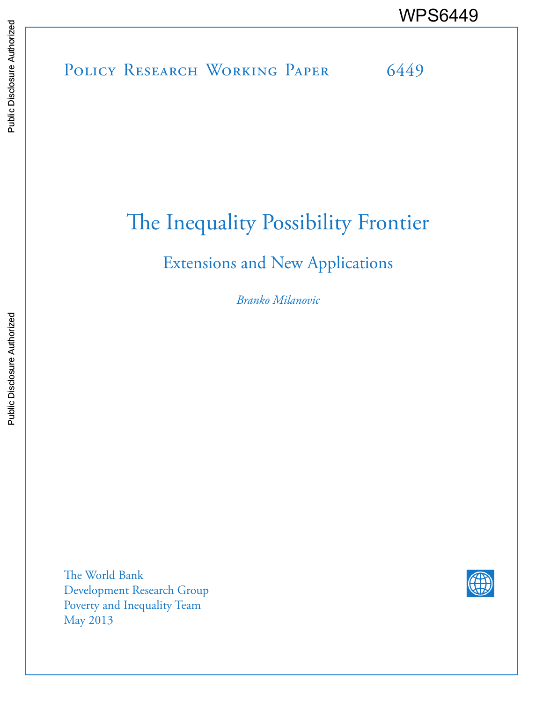# POLICY RESEARCH WORKING PAPER 6449 WPS6449<br>
Media<br>
Media<br>
Band<br>
Band<br>
Band<br>
Band<br>
Band<br>
Band<br>
Band<br>
Band<br>
Band<br>
Band<br>
Band<br>
Band<br>
Band<br>
Band<br>
Band<br>
Band<br>
Band<br>
Band<br>
Band<br>
Band<br>
Band<br>
Band<br>
Band<br>
Band<br>
Band<br>
Band<br>
Band<br>
Band<br>
Band<br>
Band<br>
Band<br>
Band<br>
Band<br>
B

## The Inequality Possibility Frontier

### Extensions and New Applications

*Branko Milanovic*

The World Bank Development Research Group Poverty and Inequality Team May 2013

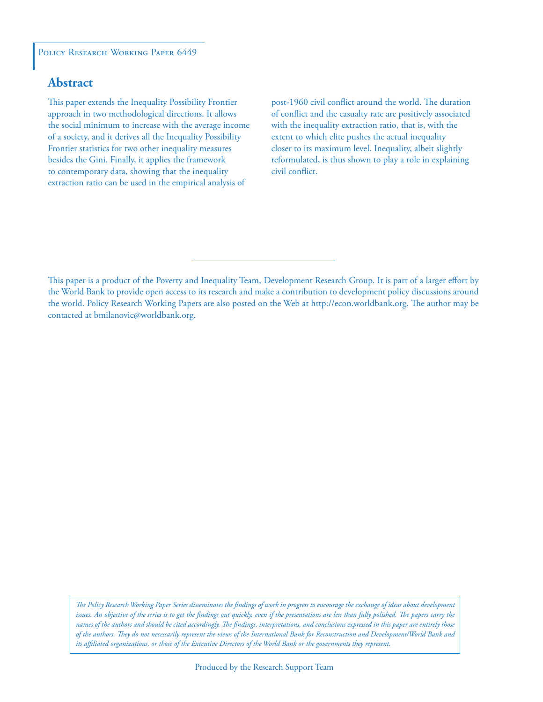#### POLICY RESEARCH WORKING PAPER 6449

#### **Abstract**

This paper extends the Inequality Possibility Frontier approach in two methodological directions. It allows the social minimum to increase with the average income of a society, and it derives all the Inequality Possibility Frontier statistics for two other inequality measures besides the Gini. Finally, it applies the framework to contemporary data, showing that the inequality extraction ratio can be used in the empirical analysis of

post-1960 civil conflict around the world. The duration of conflict and the casualty rate are positively associated with the inequality extraction ratio, that is, with the extent to which elite pushes the actual inequality closer to its maximum level. Inequality, albeit slightly reformulated, is thus shown to play a role in explaining civil conflict.

This paper is a product of the Poverty and Inequality Team, Development Research Group. It is part of a larger effort by the World Bank to provide open access to its research and make a contribution to development policy discussions around the world. Policy Research Working Papers are also posted on the Web at http://econ.worldbank.org. The author may be contacted at bmilanovic@worldbank.org.

*The Policy Research Working Paper Series disseminates the findings of work in progress to encourage the exchange of ideas about development*  issues. An objective of the series is to get the findings out quickly, even if the presentations are less than fully polished. The papers carry the *names of the authors and should be cited accordingly. The findings, interpretations, and conclusions expressed in this paper are entirely those of the authors. They do not necessarily represent the views of the International Bank for Reconstruction and Development/World Bank and its affiliated organizations, or those of the Executive Directors of the World Bank or the governments they represent.*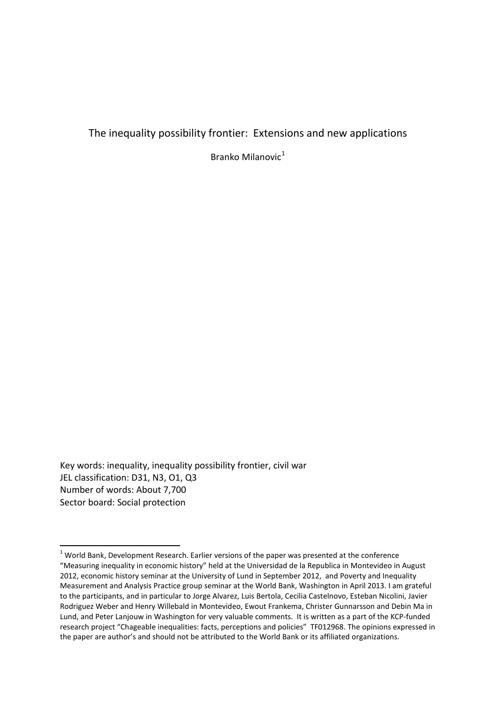#### The inequality possibility frontier: Extensions and new applications

Branko Milanovi $c^1$  $c^1$ 

Key words: inequality, inequality possibility frontier, civil war JEL classification: D31, N3, O1, Q3 Number of words: About 7,700 Sector board: Social protection

<span id="page-2-0"></span> $1$  World Bank, Development Research. Earlier versions of the paper was presented at the conference "Measuring inequality in economic history" held at the Universidad de la Republica in Montevideo in August 2012, economic history seminar at the University of Lund in September 2012, and Poverty and Inequality Measurement and Analysis Practice group seminar at the World Bank, Washington in April 2013. I am grateful to the participants, and in particular to Jorge Alvarez, Luis Bertola, Cecilia Castelnovo, Esteban Nicolini, Javier Rodriguez Weber and Henry Willebald in Montevideo, Ewout Frankema, Christer Gunnarsson and Debin Ma in Lund, and Peter Lanjouw in Washington for very valuable comments. It is written as a part of the KCP-funded research project "Chageable inequalities: facts, perceptions and policies" TF012968. The opinions expressed in the paper are author's and should not be attributed to the World Bank or its affiliated organizations.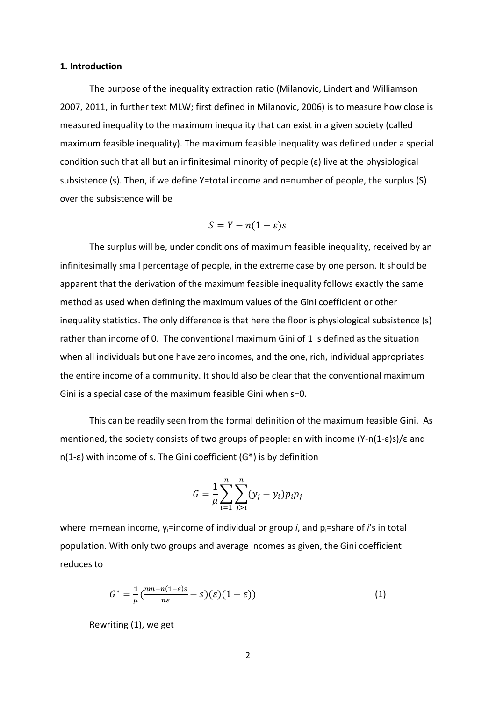#### **1. Introduction**

The purpose of the inequality extraction ratio (Milanovic, Lindert and Williamson 2007, 2011, in further text MLW; first defined in Milanovic, 2006) is to measure how close is measured inequality to the maximum inequality that can exist in a given society (called maximum feasible inequality). The maximum feasible inequality was defined under a special condition such that all but an infinitesimal minority of people (ε) live at the physiological subsistence (s). Then, if we define Y=total income and n=number of people, the surplus (S) over the subsistence will be

$$
S = Y - n(1 - \varepsilon)s
$$

The surplus will be, under conditions of maximum feasible inequality, received by an infinitesimally small percentage of people, in the extreme case by one person. It should be apparent that the derivation of the maximum feasible inequality follows exactly the same method as used when defining the maximum values of the Gini coefficient or other inequality statistics. The only difference is that here the floor is physiological subsistence (s) rather than income of 0. The conventional maximum Gini of 1 is defined as the situation when all individuals but one have zero incomes, and the one, rich, individual appropriates the entire income of a community. It should also be clear that the conventional maximum Gini is a special case of the maximum feasible Gini when s=0.

This can be readily seen from the formal definition of the maximum feasible Gini. As mentioned, the society consists of two groups of people: εn with income (Y-n(1-ε)s)/ε and n(1-ε) with income of s. The Gini coefficient (G\*) is by definition

$$
G = \frac{1}{\mu} \sum_{i=1}^{n} \sum_{j>i}^{n} (y_j - y_i) p_i p_j
$$

where m=mean income, y<sub>i</sub>=income of individual or group *i*, and p<sub>i</sub>=share of *i*'s in total population. With only two groups and average incomes as given, the Gini coefficient reduces to

$$
G^* = \frac{1}{\mu} \left( \frac{nm - n(1 - \varepsilon)s}{n\varepsilon} - s \right) (\varepsilon) (1 - \varepsilon)) \tag{1}
$$

Rewriting (1), we get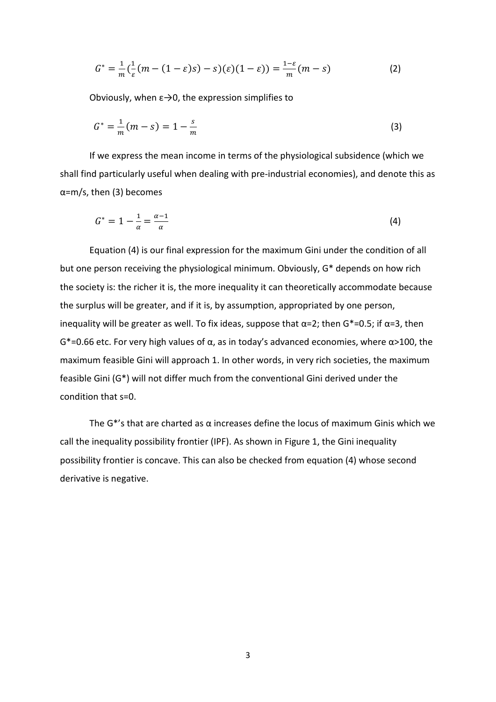$$
G^* = \frac{1}{m} \left( \frac{1}{\varepsilon} (m - (1 - \varepsilon)s) - s \right) (\varepsilon) (1 - \varepsilon)) = \frac{1 - \varepsilon}{m} (m - s)
$$
 (2)

Obviously, when  $\varepsilon \rightarrow 0$ , the expression simplifies to

$$
G^* = \frac{1}{m}(m - s) = 1 - \frac{s}{m}
$$
 (3)

If we express the mean income in terms of the physiological subsidence (which we shall find particularly useful when dealing with pre-industrial economies), and denote this as α=m/s, then (3) becomes

$$
G^* = 1 - \frac{1}{\alpha} = \frac{\alpha - 1}{\alpha} \tag{4}
$$

Equation (4) is our final expression for the maximum Gini under the condition of all but one person receiving the physiological minimum. Obviously, G\* depends on how rich the society is: the richer it is, the more inequality it can theoretically accommodate because the surplus will be greater, and if it is, by assumption, appropriated by one person, inequality will be greater as well. To fix ideas, suppose that  $\alpha$ =2; then G\*=0.5; if  $\alpha$ =3, then G\*=0.66 etc. For very high values of α, as in today's advanced economies, where α>100, the maximum feasible Gini will approach 1. In other words, in very rich societies, the maximum feasible Gini (G\*) will not differ much from the conventional Gini derived under the condition that s=0.

The  $G^*$ 's that are charted as  $\alpha$  increases define the locus of maximum Ginis which we call the inequality possibility frontier (IPF). As shown in Figure 1, the Gini inequality possibility frontier is concave. This can also be checked from equation (4) whose second derivative is negative.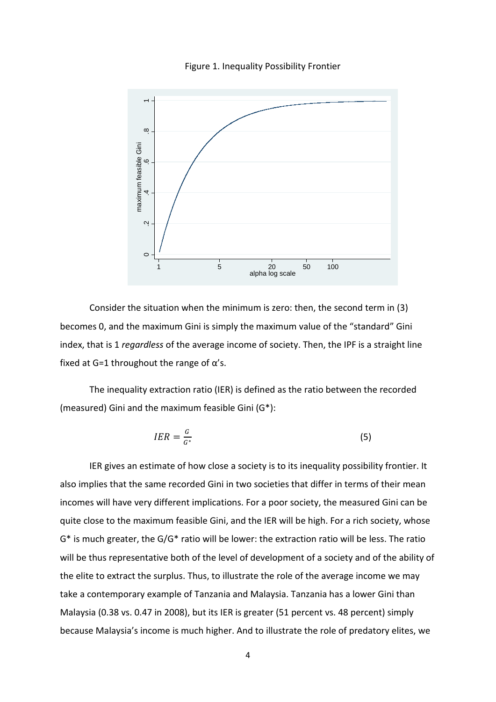



Consider the situation when the minimum is zero: then, the second term in (3) becomes 0, and the maximum Gini is simply the maximum value of the "standard" Gini index, that is 1 *regardless* of the average income of society. Then, the IPF is a straight line fixed at G=1 throughout the range of  $\alpha$ 's.

The inequality extraction ratio (IER) is defined as the ratio between the recorded (measured) Gini and the maximum feasible Gini (G\*):

$$
IER = \frac{G}{G^*} \tag{5}
$$

IER gives an estimate of how close a society is to its inequality possibility frontier. It also implies that the same recorded Gini in two societies that differ in terms of their mean incomes will have very different implications. For a poor society, the measured Gini can be quite close to the maximum feasible Gini, and the IER will be high. For a rich society, whose G\* is much greater, the G/G\* ratio will be lower: the extraction ratio will be less. The ratio will be thus representative both of the level of development of a society and of the ability of the elite to extract the surplus. Thus, to illustrate the role of the average income we may take a contemporary example of Tanzania and Malaysia. Tanzania has a lower Gini than Malaysia (0.38 vs. 0.47 in 2008), but its IER is greater (51 percent vs. 48 percent) simply because Malaysia's income is much higher. And to illustrate the role of predatory elites, we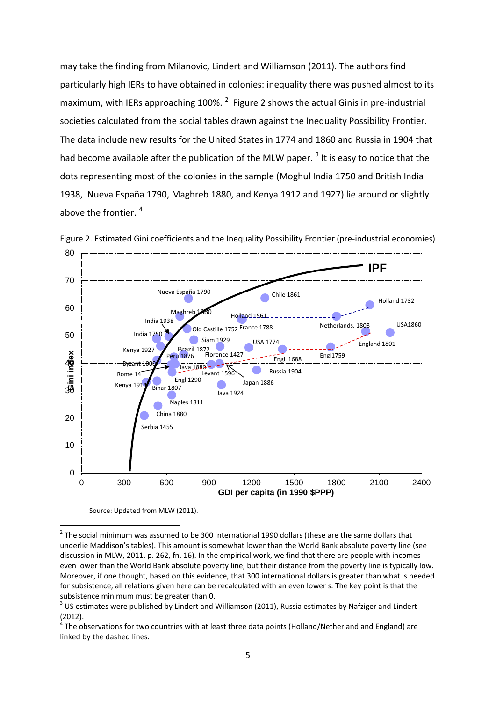may take the finding from Milanovic, Lindert and Williamson (2011). The authors find particularly high IERs to have obtained in colonies: inequality there was pushed almost to its maximum, with IERs approaching 100%.  $^2$  $^2$  Figure 2 shows the actual Ginis in pre-industrial societies calculated from the social tables drawn against the Inequality Possibility Frontier. The data include new results for the United States in 1774 and 1860 and Russia in 1904 that had become available after the publication of the MLW paper.<sup>[3](#page-6-1)</sup> It is easy to notice that the dots representing most of the colonies in the sample (Moghul India 1750 and British India 1938, Nueva España 1790, Maghreb 1880, and Kenya 1912 and 1927) lie around or slightly above the frontier.<sup>[4](#page-6-2)</sup>



Figure 2. Estimated Gini coefficients and the Inequality Possibility Frontier (pre-industrial economies)

Source: Updated from MLW (2011).

<span id="page-6-0"></span> $2$  The social minimum was assumed to be 300 international 1990 dollars (these are the same dollars that underlie Maddison's tables). This amount is somewhat lower than the World Bank absolute poverty line (see discussion in MLW, 2011, p. 262, fn. 16). In the empirical work, we find that there are people with incomes even lower than the World Bank absolute poverty line, but their distance from the poverty line is typically low. Moreover, if one thought, based on this evidence, that 300 international dollars is greater than what is needed for subsistence, all relations given here can be recalculated with an even lower *s*. The key point is that the subsistence minimum must be greater than 0.

<span id="page-6-1"></span><sup>&</sup>lt;sup>3</sup> US estimates were published by Lindert and Williamson (2011), Russia estimates by Nafziger and Lindert  $(2012).$ 

<span id="page-6-2"></span>The observations for two countries with at least three data points (Holland/Netherland and England) are linked by the dashed lines.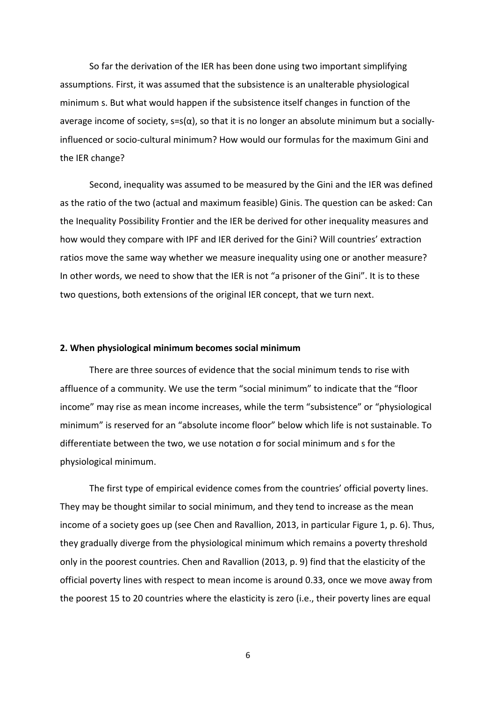So far the derivation of the IER has been done using two important simplifying assumptions. First, it was assumed that the subsistence is an unalterable physiological minimum s. But what would happen if the subsistence itself changes in function of the average income of society,  $s=s(\alpha)$ , so that it is no longer an absolute minimum but a sociallyinfluenced or socio-cultural minimum? How would our formulas for the maximum Gini and the IER change?

Second, inequality was assumed to be measured by the Gini and the IER was defined as the ratio of the two (actual and maximum feasible) Ginis. The question can be asked: Can the Inequality Possibility Frontier and the IER be derived for other inequality measures and how would they compare with IPF and IER derived for the Gini? Will countries' extraction ratios move the same way whether we measure inequality using one or another measure? In other words, we need to show that the IER is not "a prisoner of the Gini". It is to these two questions, both extensions of the original IER concept, that we turn next.

#### **2. When physiological minimum becomes social minimum**

There are three sources of evidence that the social minimum tends to rise with affluence of a community. We use the term "social minimum" to indicate that the "floor income" may rise as mean income increases, while the term "subsistence" or "physiological minimum" is reserved for an "absolute income floor" below which life is not sustainable. To differentiate between the two, we use notation σ for social minimum and s for the physiological minimum.

The first type of empirical evidence comes from the countries' official poverty lines. They may be thought similar to social minimum, and they tend to increase as the mean income of a society goes up (see Chen and Ravallion, 2013, in particular Figure 1, p. 6). Thus, they gradually diverge from the physiological minimum which remains a poverty threshold only in the poorest countries. Chen and Ravallion (2013, p. 9) find that the elasticity of the official poverty lines with respect to mean income is around 0.33, once we move away from the poorest 15 to 20 countries where the elasticity is zero (i.e., their poverty lines are equal

6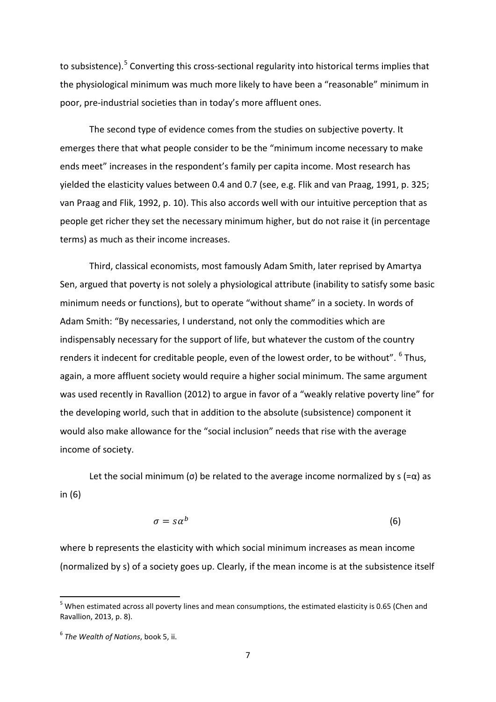to subsistence).<sup>[5](#page-8-0)</sup> Converting this cross-sectional regularity into historical terms implies that the physiological minimum was much more likely to have been a "reasonable" minimum in poor, pre-industrial societies than in today's more affluent ones.

The second type of evidence comes from the studies on subjective poverty. It emerges there that what people consider to be the "minimum income necessary to make ends meet" increases in the respondent's family per capita income. Most research has yielded the elasticity values between 0.4 and 0.7 (see, e.g. Flik and van Praag, 1991, p. 325; van Praag and Flik, 1992, p. 10). This also accords well with our intuitive perception that as people get richer they set the necessary minimum higher, but do not raise it (in percentage terms) as much as their income increases.

Third, classical economists, most famously Adam Smith, later reprised by Amartya Sen, argued that poverty is not solely a physiological attribute (inability to satisfy some basic minimum needs or functions), but to operate "without shame" in a society. In words of Adam Smith: "By necessaries, I understand, not only the commodities which are indispensably necessary for the support of life, but whatever the custom of the country renders it indecent for creditable people, even of the lowest order, to be without". <sup>[6](#page-8-1)</sup> Thus, again, a more affluent society would require a higher social minimum. The same argument was used recently in Ravallion (2012) to argue in favor of a "weakly relative poverty line" for the developing world, such that in addition to the absolute (subsistence) component it would also make allowance for the "social inclusion" needs that rise with the average income of society.

Let the social minimum (σ) be related to the average income normalized by  $s (= \alpha)$  as in (6)

$$
\sigma = s\alpha^b \tag{6}
$$

where b represents the elasticity with which social minimum increases as mean income (normalized by s) of a society goes up. Clearly, if the mean income is at the subsistence itself

<span id="page-8-0"></span> $5$  When estimated across all poverty lines and mean consumptions, the estimated elasticity is 0.65 (Chen and Ravallion, 2013, p. 8).

<span id="page-8-1"></span><sup>6</sup> *The Wealth of Nations*, book 5, ii.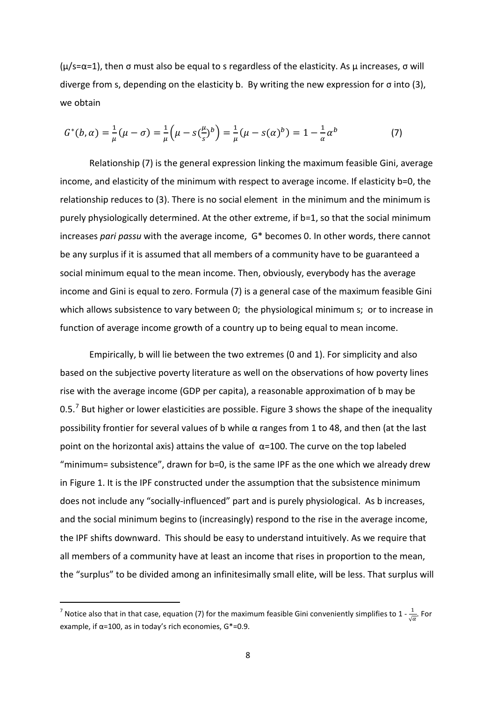$(\mu/s=\alpha=1)$ , then σ must also be equal to s regardless of the elasticity. As  $\mu$  increases, σ will diverge from s, depending on the elasticity b. By writing the new expression for σ into (3), we obtain

$$
G^*(b,\alpha) = \frac{1}{\mu}(\mu - \sigma) = \frac{1}{\mu}\left(\mu - s(\frac{\mu}{s})^b\right) = \frac{1}{\mu}(\mu - s(\alpha)^b) = 1 - \frac{1}{\alpha}\alpha^b
$$
 (7)

Relationship (7) is the general expression linking the maximum feasible Gini, average income, and elasticity of the minimum with respect to average income. If elasticity b=0, the relationship reduces to (3). There is no social element in the minimum and the minimum is purely physiologically determined. At the other extreme, if b=1, so that the social minimum increases *pari passu* with the average income, G\* becomes 0. In other words, there cannot be any surplus if it is assumed that all members of a community have to be guaranteed a social minimum equal to the mean income. Then, obviously, everybody has the average income and Gini is equal to zero. Formula (7) is a general case of the maximum feasible Gini which allows subsistence to vary between 0; the physiological minimum s; or to increase in function of average income growth of a country up to being equal to mean income.

Empirically, b will lie between the two extremes (0 and 1). For simplicity and also based on the subjective poverty literature as well on the observations of how poverty lines rise with the average income (GDP per capita), a reasonable approximation of b may be 0.5.<sup>[7](#page-9-0)</sup> But higher or lower elasticities are possible. Figure 3 shows the shape of the inequality possibility frontier for several values of b while  $\alpha$  ranges from 1 to 48, and then (at the last point on the horizontal axis) attains the value of  $α=100$ . The curve on the top labeled "minimum= subsistence", drawn for b=0, is the same IPF as the one which we already drew in Figure 1. It is the IPF constructed under the assumption that the subsistence minimum does not include any "socially-influenced" part and is purely physiological. As b increases, and the social minimum begins to (increasingly) respond to the rise in the average income, the IPF shifts downward. This should be easy to understand intuitively. As we require that all members of a community have at least an income that rises in proportion to the mean, the "surplus" to be divided among an infinitesimally small elite, will be less. That surplus will

<span id="page-9-0"></span><sup>&</sup>lt;sup>7</sup> Notice also that in that case, equation (7) for the maximum feasible Gini conveniently simplifies to 1 -  $\frac{1}{\sqrt{\alpha}}$ . For example, if  $\alpha$ =100, as in today's rich economies,  $G^*$ =0.9.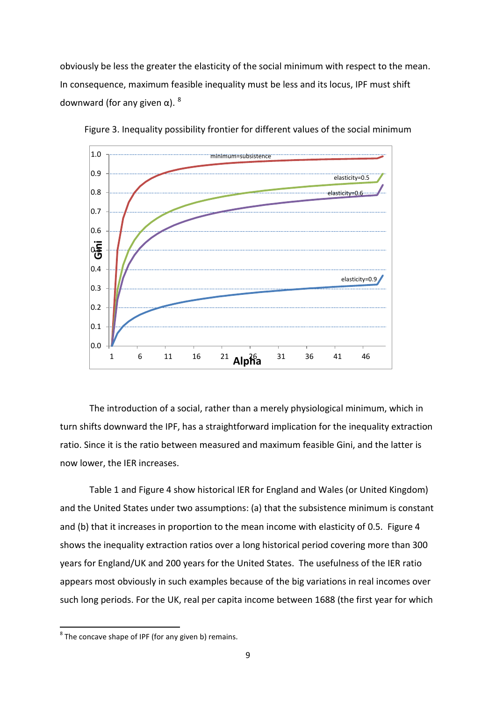obviously be less the greater the elasticity of the social minimum with respect to the mean. In consequence, maximum feasible inequality must be less and its locus, IPF must shift downward (for any given  $α$ ). <sup>[8](#page-10-0)</sup>



Figure 3. Inequality possibility frontier for different values of the social minimum

The introduction of a social, rather than a merely physiological minimum, which in turn shifts downward the IPF, has a straightforward implication for the inequality extraction ratio. Since it is the ratio between measured and maximum feasible Gini, and the latter is now lower, the IER increases.

Table 1 and Figure 4 show historical IER for England and Wales (or United Kingdom) and the United States under two assumptions: (a) that the subsistence minimum is constant and (b) that it increases in proportion to the mean income with elasticity of 0.5. Figure 4 shows the inequality extraction ratios over a long historical period covering more than 300 years for England/UK and 200 years for the United States. The usefulness of the IER ratio appears most obviously in such examples because of the big variations in real incomes over such long periods. For the UK, real per capita income between 1688 (the first year for which

 $\overline{\phantom{a}}$ 

<span id="page-10-0"></span> $8<sup>8</sup>$  The concave shape of IPF (for any given b) remains.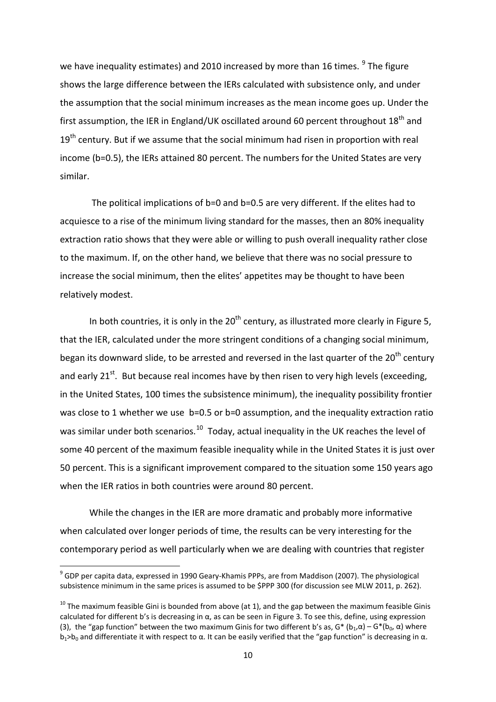we have inequality estimates) and 2010 increased by more than 16 times.  $9$  The figure shows the large difference between the IERs calculated with subsistence only, and under the assumption that the social minimum increases as the mean income goes up. Under the first assumption, the IER in England/UK oscillated around 60 percent throughout 18<sup>th</sup> and  $19<sup>th</sup>$  century. But if we assume that the social minimum had risen in proportion with real income (b=0.5), the IERs attained 80 percent. The numbers for the United States are very similar.

The political implications of b=0 and b=0.5 are very different. If the elites had to acquiesce to a rise of the minimum living standard for the masses, then an 80% inequality extraction ratio shows that they were able or willing to push overall inequality rather close to the maximum. If, on the other hand, we believe that there was no social pressure to increase the social minimum, then the elites' appetites may be thought to have been relatively modest.

In both countries, it is only in the  $20<sup>th</sup>$  century, as illustrated more clearly in Figure 5, that the IER, calculated under the more stringent conditions of a changing social minimum, began its downward slide, to be arrested and reversed in the last quarter of the 20<sup>th</sup> century and early  $21^{st}$ . But because real incomes have by then risen to very high levels (exceeding, in the United States, 100 times the subsistence minimum), the inequality possibility frontier was close to 1 whether we use b=0.5 or b=0 assumption, and the inequality extraction ratio was similar under both scenarios.<sup>10</sup> Today, actual inequality in the UK reaches the level of some 40 percent of the maximum feasible inequality while in the United States it is just over 50 percent. This is a significant improvement compared to the situation some 150 years ago when the IER ratios in both countries were around 80 percent.

While the changes in the IER are more dramatic and probably more informative when calculated over longer periods of time, the results can be very interesting for the contemporary period as well particularly when we are dealing with countries that register

<span id="page-11-0"></span><sup>&</sup>lt;sup>9</sup> GDP per capita data, expressed in 1990 Geary-Khamis PPPs, are from Maddison (2007). The physiological subsistence minimum in the same prices is assumed to be \$PPP 300 (for discussion see MLW 2011, p. 262).

<span id="page-11-1"></span> $10$  The maximum feasible Gini is bounded from above (at 1), and the gap between the maximum feasible Ginis calculated for different b's is decreasing in  $\alpha$ , as can be seen in Figure 3. To see this, define, using expression (3), the "gap function" between the two maximum Ginis for two different b's as,  $G^* (b_1, \alpha) - G^* (b_0, \alpha)$  where  $b_1>b_0$  and differentiate it with respect to α. It can be easily verified that the "gap function" is decreasing in α.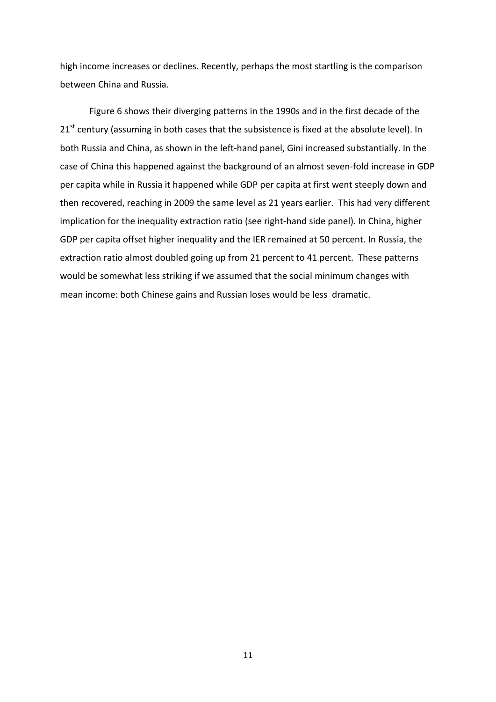high income increases or declines. Recently, perhaps the most startling is the comparison between China and Russia.

Figure 6 shows their diverging patterns in the 1990s and in the first decade of the 21<sup>st</sup> century (assuming in both cases that the subsistence is fixed at the absolute level). In both Russia and China, as shown in the left-hand panel, Gini increased substantially. In the case of China this happened against the background of an almost seven-fold increase in GDP per capita while in Russia it happened while GDP per capita at first went steeply down and then recovered, reaching in 2009 the same level as 21 years earlier. This had very different implication for the inequality extraction ratio (see right-hand side panel). In China, higher GDP per capita offset higher inequality and the IER remained at 50 percent. In Russia, the extraction ratio almost doubled going up from 21 percent to 41 percent. These patterns would be somewhat less striking if we assumed that the social minimum changes with mean income: both Chinese gains and Russian loses would be less dramatic.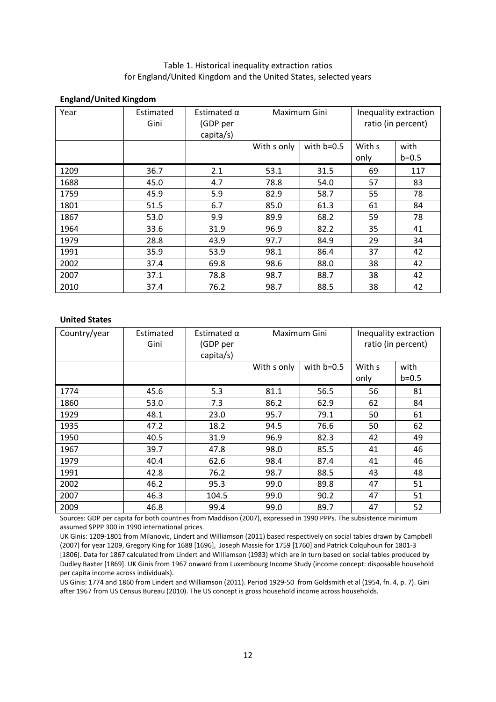#### Table 1. Historical inequality extraction ratios for England/United Kingdom and the United States, selected years

#### **England/United Kingdom**

| Year | Estimated<br>Gini | Estimated $\alpha$<br>(GDP per<br>capita/s) | Maximum Gini |              | Inequality extraction<br>ratio (in percent) |           |
|------|-------------------|---------------------------------------------|--------------|--------------|---------------------------------------------|-----------|
|      |                   |                                             | With s only  | with $b=0.5$ | With s                                      | with      |
|      |                   |                                             |              |              | only                                        | $b = 0.5$ |
| 1209 | 36.7              | 2.1                                         | 53.1         | 31.5         | 69                                          | 117       |
| 1688 | 45.0              | 4.7                                         | 78.8         | 54.0         | 57                                          | 83        |
| 1759 | 45.9              | 5.9                                         | 82.9         | 58.7         | 55                                          | 78        |
| 1801 | 51.5              | 6.7                                         | 85.0         | 61.3         | 61                                          | 84        |
| 1867 | 53.0              | 9.9                                         | 89.9         | 68.2         | 59                                          | 78        |
| 1964 | 33.6              | 31.9                                        | 96.9         | 82.2         | 35                                          | 41        |
| 1979 | 28.8              | 43.9                                        | 97.7         | 84.9         | 29                                          | 34        |
| 1991 | 35.9              | 53.9                                        | 98.1         | 86.4         | 37                                          | 42        |
| 2002 | 37.4              | 69.8                                        | 98.6         | 88.0         | 38                                          | 42        |
| 2007 | 37.1              | 78.8                                        | 98.7         | 88.7         | 38                                          | 42        |
| 2010 | 37.4              | 76.2                                        | 98.7         | 88.5         | 38                                          | 42        |

#### **United States**

| Country/year | Estimated<br>Gini | Estimated $\alpha$<br>(GDP per<br>capita/s) | Maximum Gini |              | Inequality extraction<br>ratio (in percent) |                   |
|--------------|-------------------|---------------------------------------------|--------------|--------------|---------------------------------------------|-------------------|
|              |                   |                                             | With s only  | with $b=0.5$ | With s                                      | with<br>$b = 0.5$ |
|              |                   |                                             |              |              | only                                        |                   |
| 1774         | 45.6              | 5.3                                         | 81.1         | 56.5         | 56                                          | 81                |
| 1860         | 53.0              | 7.3                                         | 86.2         | 62.9         | 62                                          | 84                |
| 1929         | 48.1              | 23.0                                        | 95.7         | 79.1         | 50                                          | 61                |
| 1935         | 47.2              | 18.2                                        | 94.5         | 76.6         | 50                                          | 62                |
| 1950         | 40.5              | 31.9                                        | 96.9         | 82.3         | 42                                          | 49                |
| 1967         | 39.7              | 47.8                                        | 98.0         | 85.5         | 41                                          | 46                |
| 1979         | 40.4              | 62.6                                        | 98.4         | 87.4         | 41                                          | 46                |
| 1991         | 42.8              | 76.2                                        | 98.7         | 88.5         | 43                                          | 48                |
| 2002         | 46.2              | 95.3                                        | 99.0         | 89.8         | 47                                          | 51                |
| 2007         | 46.3              | 104.5                                       | 99.0         | 90.2         | 47                                          | 51                |
| 2009         | 46.8              | 99.4                                        | 99.0         | 89.7         | 47                                          | 52                |

Sources: GDP per capita for both countries from Maddison (2007), expressed in 1990 PPPs. The subsistence minimum assumed \$PPP 300 in 1990 international prices.

UK Ginis: 1209-1801 from Milanovic, Lindert and Williamson (2011) based respectively on social tables drawn by Campbell (2007) for year 1209, Gregory King for 1688 [1696], Joseph Massie for 1759 [1760] and Patrick Colquhoun for 1801-3 [1806]. Data for 1867 calculated from Lindert and Williamson (1983) which are in turn based on social tables produced by Dudley Baxter [1869]. UK Ginis from 1967 onward from Luxembourg Income Study (income concept: disposable household per capita income across individuals).

US Ginis: 1774 and 1860 from Lindert and Williamson (2011). Period 1929-50 from Goldsmith et al (1954, fn. 4, p. 7). Gini after 1967 from US Census Bureau (2010). The US concept is gross household income across households.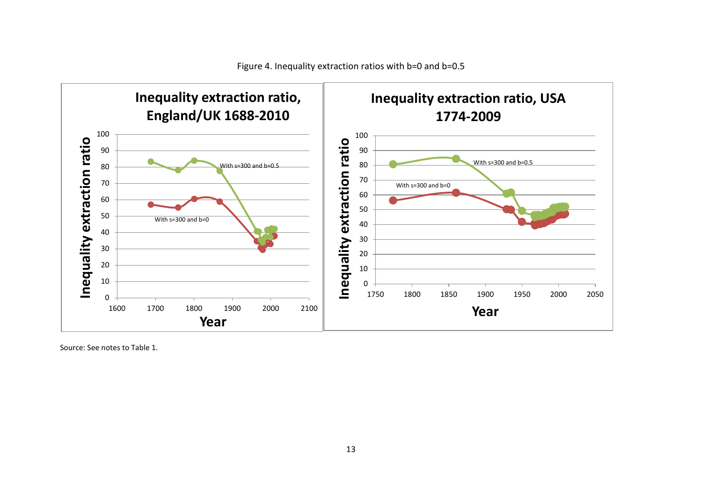

Source: See notes to Table 1.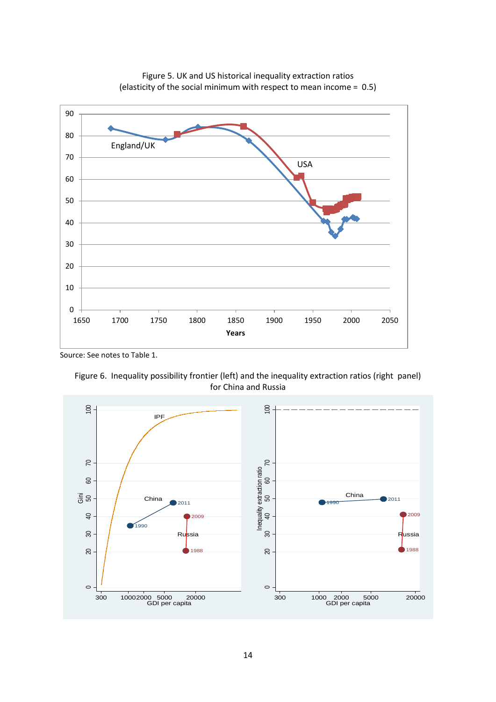



Source: See notes to Table 1.



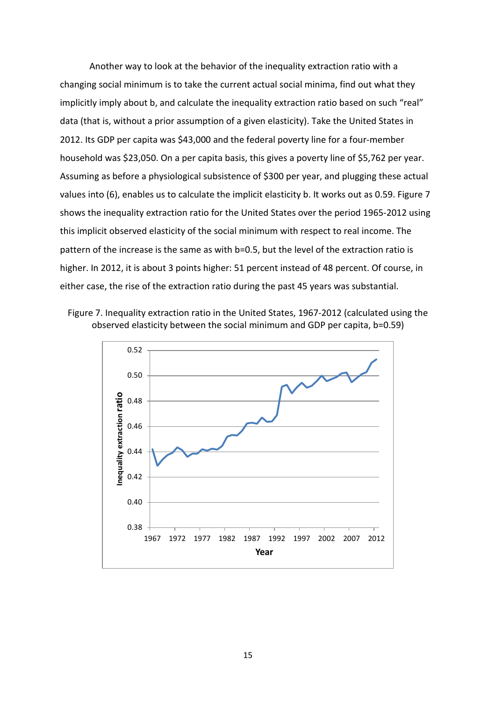Another way to look at the behavior of the inequality extraction ratio with a changing social minimum is to take the current actual social minima, find out what they implicitly imply about b, and calculate the inequality extraction ratio based on such "real" data (that is, without a prior assumption of a given elasticity). Take the United States in 2012. Its GDP per capita was \$43,000 and the federal poverty line for a four-member household was \$23,050. On a per capita basis, this gives a poverty line of \$5,762 per year. Assuming as before a physiological subsistence of \$300 per year, and plugging these actual values into (6), enables us to calculate the implicit elasticity b. It works out as 0.59. Figure 7 shows the inequality extraction ratio for the United States over the period 1965-2012 using this implicit observed elasticity of the social minimum with respect to real income. The pattern of the increase is the same as with b=0.5, but the level of the extraction ratio is higher. In 2012, it is about 3 points higher: 51 percent instead of 48 percent. Of course, in either case, the rise of the extraction ratio during the past 45 years was substantial.



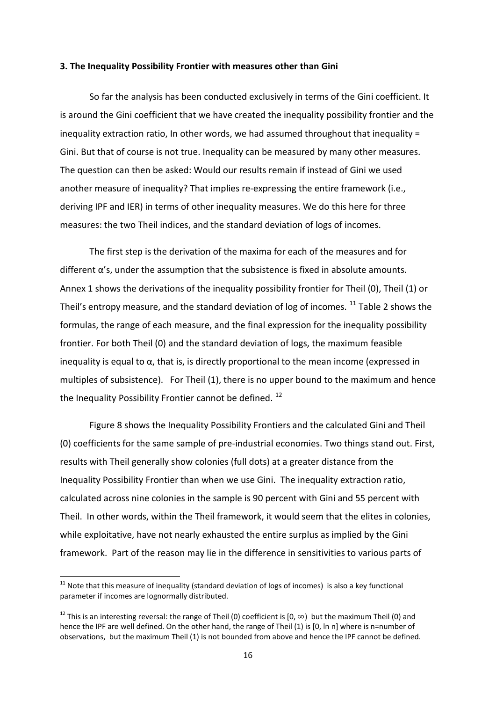#### **3. The Inequality Possibility Frontier with measures other than Gini**

So far the analysis has been conducted exclusively in terms of the Gini coefficient. It is around the Gini coefficient that we have created the inequality possibility frontier and the inequality extraction ratio, In other words, we had assumed throughout that inequality = Gini. But that of course is not true. Inequality can be measured by many other measures. The question can then be asked: Would our results remain if instead of Gini we used another measure of inequality? That implies re-expressing the entire framework (i.e., deriving IPF and IER) in terms of other inequality measures. We do this here for three measures: the two Theil indices, and the standard deviation of logs of incomes.

The first step is the derivation of the maxima for each of the measures and for  $different \alpha's$ , under the assumption that the subsistence is fixed in absolute amounts. Annex 1 shows the derivations of the inequality possibility frontier for Theil (0), Theil (1) or Theil's entropy measure, and the standard deviation of log of incomes.  $^{11}$  $^{11}$  $^{11}$  Table 2 shows the formulas, the range of each measure, and the final expression for the inequality possibility frontier. For both Theil (0) and the standard deviation of logs, the maximum feasible inequality is equal to  $\alpha$ , that is, is directly proportional to the mean income (expressed in multiples of subsistence). For Theil (1), there is no upper bound to the maximum and hence the Inequality Possibility Frontier cannot be defined.  $^{12}$  $^{12}$  $^{12}$ 

Figure 8 shows the Inequality Possibility Frontiers and the calculated Gini and Theil (0) coefficients for the same sample of pre-industrial economies. Two things stand out. First, results with Theil generally show colonies (full dots) at a greater distance from the Inequality Possibility Frontier than when we use Gini. The inequality extraction ratio, calculated across nine colonies in the sample is 90 percent with Gini and 55 percent with Theil. In other words, within the Theil framework, it would seem that the elites in colonies, while exploitative, have not nearly exhausted the entire surplus as implied by the Gini framework. Part of the reason may lie in the difference in sensitivities to various parts of

<span id="page-17-0"></span> $11$  Note that this measure of inequality (standard deviation of logs of incomes) is also a key functional parameter if incomes are lognormally distributed.

<span id="page-17-1"></span><sup>&</sup>lt;sup>12</sup> This is an interesting reversal: the range of Theil (0) coefficient is [0,  $\infty$ ) but the maximum Theil (0) and hence the IPF are well defined. On the other hand, the range of Theil (1) is [0, ln n] where is n=number of observations, but the maximum Theil (1) is not bounded from above and hence the IPF cannot be defined.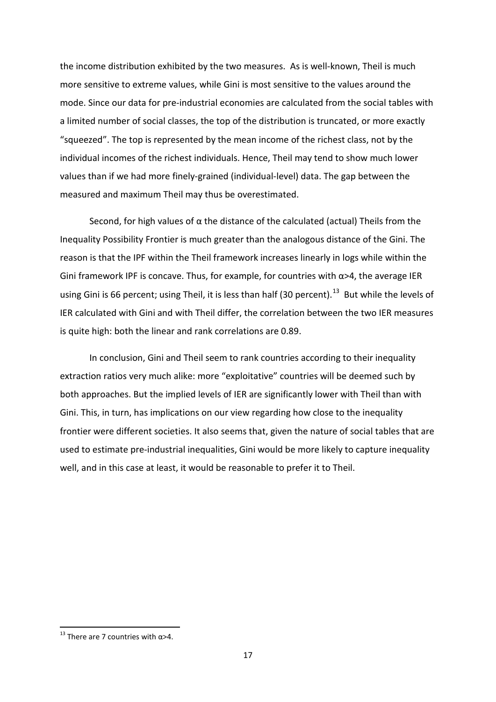the income distribution exhibited by the two measures. As is well-known, Theil is much more sensitive to extreme values, while Gini is most sensitive to the values around the mode. Since our data for pre-industrial economies are calculated from the social tables with a limited number of social classes, the top of the distribution is truncated, or more exactly "squeezed". The top is represented by the mean income of the richest class, not by the individual incomes of the richest individuals. Hence, Theil may tend to show much lower values than if we had more finely-grained (individual-level) data. The gap between the measured and maximum Theil may thus be overestimated.

Second, for high values of  $\alpha$  the distance of the calculated (actual) Theils from the Inequality Possibility Frontier is much greater than the analogous distance of the Gini. The reason is that the IPF within the Theil framework increases linearly in logs while within the Gini framework IPF is concave. Thus, for example, for countries with  $\alpha$ >4, the average IER using Gini is 66 percent; using Theil, it is less than half (30 percent).<sup>13</sup> But while the levels of IER calculated with Gini and with Theil differ, the correlation between the two IER measures is quite high: both the linear and rank correlations are 0.89.

In conclusion, Gini and Theil seem to rank countries according to their inequality extraction ratios very much alike: more "exploitative" countries will be deemed such by both approaches. But the implied levels of IER are significantly lower with Theil than with Gini. This, in turn, has implications on our view regarding how close to the inequality frontier were different societies. It also seems that, given the nature of social tables that are used to estimate pre-industrial inequalities, Gini would be more likely to capture inequality well, and in this case at least, it would be reasonable to prefer it to Theil.

 $\overline{\phantom{a}}$ 

<span id="page-18-0"></span><sup>&</sup>lt;sup>13</sup> There are 7 countries with  $α>4$ .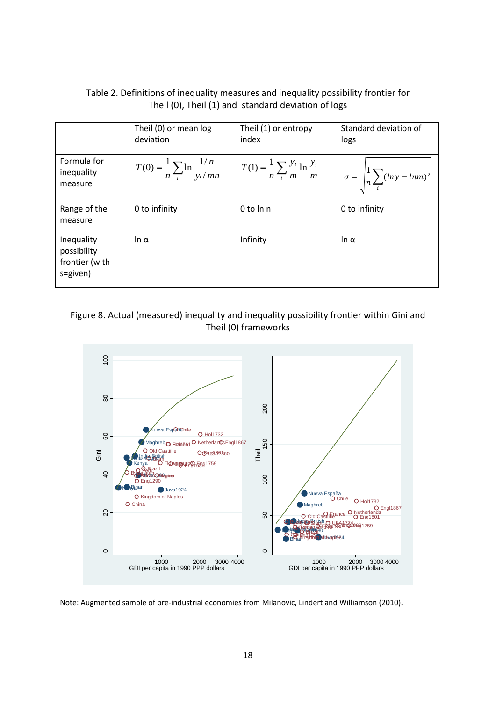| Table 2. Definitions of inequality measures and inequality possibility frontier for |
|-------------------------------------------------------------------------------------|
| Theil (0), Theil (1) and standard deviation of logs                                 |

|                                                         | Theil (0) or mean log<br>deviation                   | Theil (1) or entropy<br>index | Standard deviation of<br>logs                                                                               |
|---------------------------------------------------------|------------------------------------------------------|-------------------------------|-------------------------------------------------------------------------------------------------------------|
| Formula for<br>inequality<br>measure                    | $T(0) = \frac{1}{n} \sum_{i} \ln \frac{1/n}{v_i/mn}$ |                               | $T(1) = \frac{1}{n} \sum_{i} \frac{y_i}{m} \ln \frac{y_i}{m}$ $\sigma = \frac{1}{n} \sum_{i} (lny - lnm)^2$ |
| Range of the<br>measure                                 | 0 to infinity                                        | 0 to ln n                     | 0 to infinity                                                                                               |
| Inequality<br>possibility<br>frontier (with<br>s=given) | ln α                                                 | Infinity                      | Iη $α$                                                                                                      |

Figure 8. Actual (measured) inequality and inequality possibility frontier within Gini and Theil (0) frameworks



Note: Augmented sample of pre-industrial economies from Milanovic, Lindert and Williamson (2010).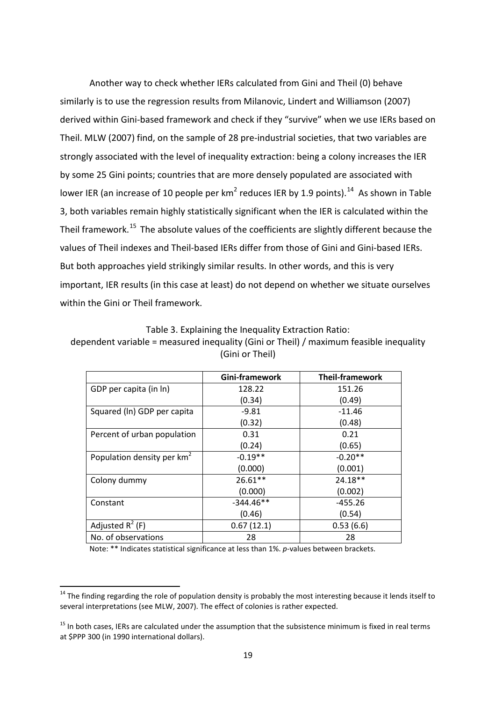Another way to check whether IERs calculated from Gini and Theil (0) behave similarly is to use the regression results from Milanovic, Lindert and Williamson (2007) derived within Gini-based framework and check if they "survive" when we use IERs based on Theil. MLW (2007) find, on the sample of 28 pre-industrial societies, that two variables are strongly associated with the level of inequality extraction: being a colony increases the IER by some 25 Gini points; countries that are more densely populated are associated with lower IER (an increase of 10 people per  $km^2$  reduces IER by 1.9 points).<sup>14</sup> As shown in Table 3, both variables remain highly statistically significant when the IER is calculated within the Theil framework.<sup>[15](#page-20-1)</sup> The absolute values of the coefficients are slightly different because the values of Theil indexes and Theil-based IERs differ from those of Gini and Gini-based IERs. But both approaches yield strikingly similar results. In other words, and this is very important, IER results (in this case at least) do not depend on whether we situate ourselves within the Gini or Theil framework.

|  |  | Table 3. Explaining the Inequality Extraction Ratio: |  |  |
|--|--|------------------------------------------------------|--|--|
|--|--|------------------------------------------------------|--|--|

dependent variable = measured inequality (Gini or Theil) / maximum feasible inequality (Gini or Theil)

|                                        | Gini-framework | <b>Theil-framework</b> |
|----------------------------------------|----------------|------------------------|
| GDP per capita (in ln)                 | 128.22         | 151.26                 |
|                                        | (0.34)         | (0.49)                 |
| Squared (ln) GDP per capita            | $-9.81$        | $-11.46$               |
|                                        | (0.32)         | (0.48)                 |
| Percent of urban population            | 0.31           | 0.21                   |
|                                        | (0.24)         | (0.65)                 |
| Population density per km <sup>2</sup> | $-0.19**$      | $-0.20**$              |
|                                        | (0.000)        | (0.001)                |
| Colony dummy                           | $26.61**$      | 24.18**                |
|                                        | (0.000)        | (0.002)                |
| Constant                               | $-344.46**$    | $-455.26$              |
|                                        | (0.46)         | (0.54)                 |
| Adjusted $R^2$ (F)                     | 0.67(12.1)     | 0.53(6.6)              |
| No. of observations                    | 28             | 28                     |

Note: \*\* Indicates statistical significance at less than 1%. *p*-values between brackets.

<span id="page-20-0"></span><sup>&</sup>lt;sup>14</sup> The finding regarding the role of population density is probably the most interesting because it lends itself to several interpretations (see MLW, 2007). The effect of colonies is rather expected.

<span id="page-20-1"></span><sup>&</sup>lt;sup>15</sup> In both cases, IERs are calculated under the assumption that the subsistence minimum is fixed in real terms at \$PPP 300 (in 1990 international dollars).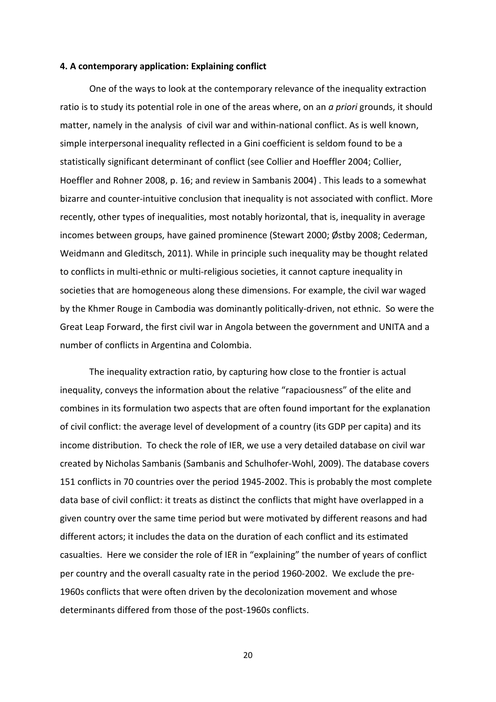#### **4. A contemporary application: Explaining conflict**

One of the ways to look at the contemporary relevance of the inequality extraction ratio is to study its potential role in one of the areas where, on an *a priori* grounds, it should matter, namely in the analysis of civil war and within-national conflict. As is well known, simple interpersonal inequality reflected in a Gini coefficient is seldom found to be a statistically significant determinant of conflict (see Collier and Hoeffler 2004; Collier, Hoeffler and Rohner 2008, p. 16; and review in Sambanis 2004) . This leads to a somewhat bizarre and counter-intuitive conclusion that inequality is not associated with conflict. More recently, other types of inequalities, most notably horizontal, that is, inequality in average incomes between groups, have gained prominence (Stewart 2000; Østby 2008; Cederman, Weidmann and Gleditsch, 2011). While in principle such inequality may be thought related to conflicts in multi-ethnic or multi-religious societies, it cannot capture inequality in societies that are homogeneous along these dimensions. For example, the civil war waged by the Khmer Rouge in Cambodia was dominantly politically-driven, not ethnic. So were the Great Leap Forward, the first civil war in Angola between the government and UNITA and a number of conflicts in Argentina and Colombia.

The inequality extraction ratio, by capturing how close to the frontier is actual inequality, conveys the information about the relative "rapaciousness" of the elite and combines in its formulation two aspects that are often found important for the explanation of civil conflict: the average level of development of a country (its GDP per capita) and its income distribution. To check the role of IER, we use a very detailed database on civil war created by Nicholas Sambanis (Sambanis and Schulhofer-Wohl, 2009). The database covers 151 conflicts in 70 countries over the period 1945-2002. This is probably the most complete data base of civil conflict: it treats as distinct the conflicts that might have overlapped in a given country over the same time period but were motivated by different reasons and had different actors; it includes the data on the duration of each conflict and its estimated casualties. Here we consider the role of IER in "explaining" the number of years of conflict per country and the overall casualty rate in the period 1960-2002. We exclude the pre-1960s conflicts that were often driven by the decolonization movement and whose determinants differed from those of the post-1960s conflicts.

20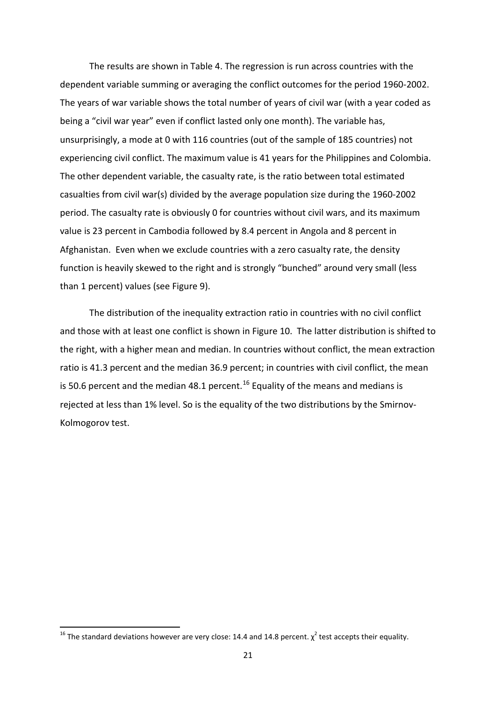The results are shown in Table 4. The regression is run across countries with the dependent variable summing or averaging the conflict outcomes for the period 1960-2002. The years of war variable shows the total number of years of civil war (with a year coded as being a "civil war year" even if conflict lasted only one month). The variable has, unsurprisingly, a mode at 0 with 116 countries (out of the sample of 185 countries) not experiencing civil conflict. The maximum value is 41 years for the Philippines and Colombia. The other dependent variable, the casualty rate, is the ratio between total estimated casualties from civil war(s) divided by the average population size during the 1960-2002 period. The casualty rate is obviously 0 for countries without civil wars, and its maximum value is 23 percent in Cambodia followed by 8.4 percent in Angola and 8 percent in Afghanistan. Even when we exclude countries with a zero casualty rate, the density function is heavily skewed to the right and is strongly "bunched" around very small (less than 1 percent) values (see Figure 9).

The distribution of the inequality extraction ratio in countries with no civil conflict and those with at least one conflict is shown in Figure 10. The latter distribution is shifted to the right, with a higher mean and median. In countries without conflict, the mean extraction ratio is 41.3 percent and the median 36.9 percent; in countries with civil conflict, the mean is 50.6 percent and the median 48.1 percent.<sup>[16](#page-22-0)</sup> Equality of the means and medians is rejected at less than 1% level. So is the equality of the two distributions by the Smirnov-Kolmogorov test.

 $\overline{\phantom{a}}$ 

<span id="page-22-0"></span><sup>&</sup>lt;sup>16</sup> The standard deviations however are very close: 14.4 and 14.8 percent.  $\chi^2$  test accepts their equality.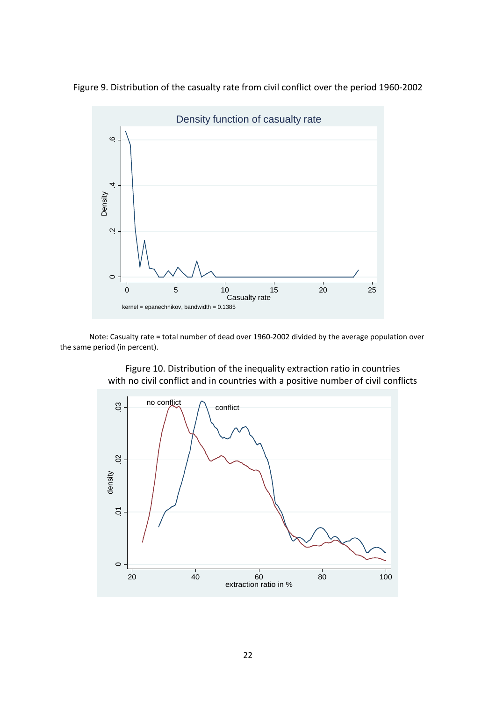

Figure 9. Distribution of the casualty rate from civil conflict over the period 1960-2002

Note: Casualty rate = total number of dead over 1960-2002 divided by the average population over the same period (in percent).



Figure 10. Distribution of the inequality extraction ratio in countries with no civil conflict and in countries with a positive number of civil conflicts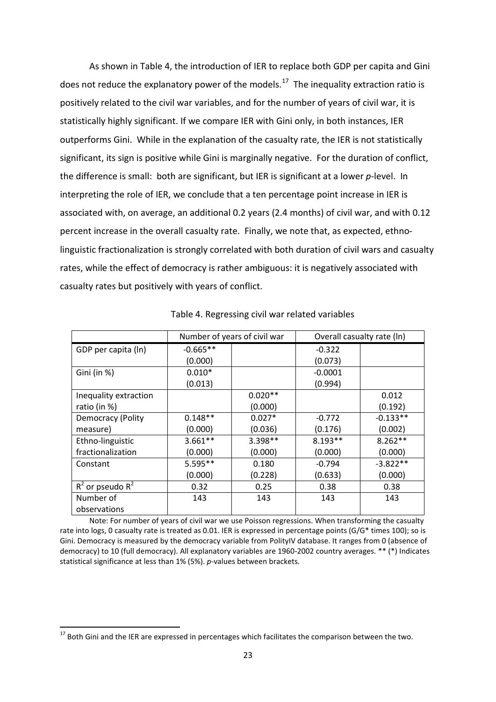As shown in Table 4, the introduction of IER to replace both GDP per capita and Gini does not reduce the explanatory power of the models.<sup>17</sup> The inequality extraction ratio is positively related to the civil war variables, and for the number of years of civil war, it is statistically highly significant. If we compare IER with Gini only, in both instances, IER outperforms Gini. While in the explanation of the casualty rate, the IER is not statistically significant, its sign is positive while Gini is marginally negative. For the duration of conflict, the difference is small: both are significant, but IER is significant at a lower *p*-level. In interpreting the role of IER, we conclude that a ten percentage point increase in IER is associated with, on average, an additional 0.2 years (2.4 months) of civil war, and with 0.12 percent increase in the overall casualty rate. Finally, we note that, as expected, ethnolinguistic fractionalization is strongly correlated with both duration of civil wars and casualty rates, while the effect of democracy is rather ambiguous: it is negatively associated with casualty rates but positively with years of conflict.

|                       | Number of years of civil war |           | Overall casualty rate (In) |            |
|-----------------------|------------------------------|-----------|----------------------------|------------|
| GDP per capita (ln)   | $-0.665**$                   |           | $-0.322$                   |            |
|                       | (0.000)                      |           | (0.073)                    |            |
| Gini (in %)           | $0.010*$                     |           | $-0.0001$                  |            |
|                       | (0.013)                      |           | (0.994)                    |            |
| Inequality extraction |                              | $0.020**$ |                            | 0.012      |
| ratio (in %)          |                              | (0.000)   |                            | (0.192)    |
| Democracy (Polity     | $0.148**$                    | $0.027*$  | $-0.772$                   | $-0.133**$ |
| measure)              | (0.000)                      | (0.036)   | (0.176)                    | (0.002)    |
| Ethno-linguistic      | $3.661**$                    | 3.398**   | $8.193**$                  | $8.262**$  |
| fractionalization     | (0.000)                      | (0.000)   | (0.000)                    | (0.000)    |
| Constant              | 5.595**                      | 0.180     | $-0.794$                   | $-3.822**$ |
|                       | (0.000)                      | (0.228)   | (0.633)                    | (0.000)    |
| $R^2$ or pseudo $R^2$ | 0.32                         | 0.25      | 0.38                       | 0.38       |
| Number of             | 143                          | 143       | 143                        | 143        |
| observations          |                              |           |                            |            |

Table 4. Regressing civil war related variables

Note: For number of years of civil war we use Poisson regressions. When transforming the casualty rate into logs, 0 casualty rate is treated as 0.01. IER is expressed in percentage points (G/G\* times 100); so is Gini. Democracy is measured by the democracy variable from PolityIV database. It ranges from 0 (absence of democracy) to 10 (full democracy). All explanatory variables are 1960-2002 country averages. \*\* (\*) Indicates statistical significance at less than 1% (5%). *p*-values between brackets.

 $\overline{\phantom{a}}$ 

<span id="page-24-0"></span><sup>&</sup>lt;sup>17</sup> Both Gini and the IER are expressed in percentages which facilitates the comparison between the two.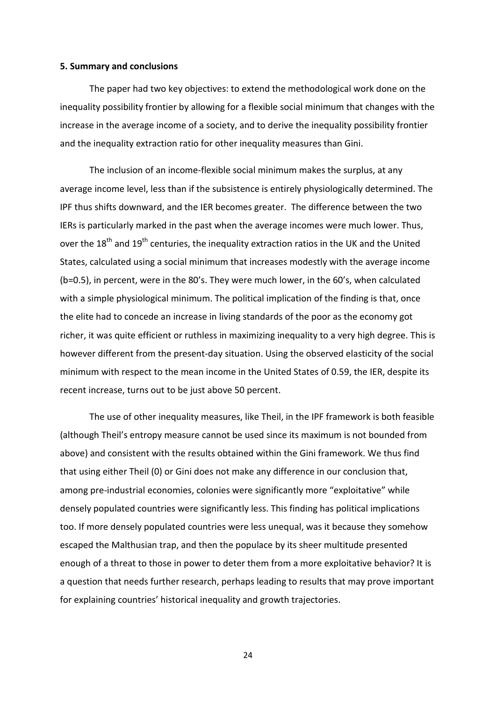#### **5. Summary and conclusions**

The paper had two key objectives: to extend the methodological work done on the inequality possibility frontier by allowing for a flexible social minimum that changes with the increase in the average income of a society, and to derive the inequality possibility frontier and the inequality extraction ratio for other inequality measures than Gini.

The inclusion of an income-flexible social minimum makes the surplus, at any average income level, less than if the subsistence is entirely physiologically determined. The IPF thus shifts downward, and the IER becomes greater. The difference between the two IERs is particularly marked in the past when the average incomes were much lower. Thus, over the  $18^{th}$  and  $19^{th}$  centuries, the inequality extraction ratios in the UK and the United States, calculated using a social minimum that increases modestly with the average income (b=0.5), in percent, were in the 80's. They were much lower, in the 60's, when calculated with a simple physiological minimum. The political implication of the finding is that, once the elite had to concede an increase in living standards of the poor as the economy got richer, it was quite efficient or ruthless in maximizing inequality to a very high degree. This is however different from the present-day situation. Using the observed elasticity of the social minimum with respect to the mean income in the United States of 0.59, the IER, despite its recent increase, turns out to be just above 50 percent.

The use of other inequality measures, like Theil, in the IPF framework is both feasible (although Theil's entropy measure cannot be used since its maximum is not bounded from above) and consistent with the results obtained within the Gini framework. We thus find that using either Theil (0) or Gini does not make any difference in our conclusion that, among pre-industrial economies, colonies were significantly more "exploitative" while densely populated countries were significantly less. This finding has political implications too. If more densely populated countries were less unequal, was it because they somehow escaped the Malthusian trap, and then the populace by its sheer multitude presented enough of a threat to those in power to deter them from a more exploitative behavior? It is a question that needs further research, perhaps leading to results that may prove important for explaining countries' historical inequality and growth trajectories.

24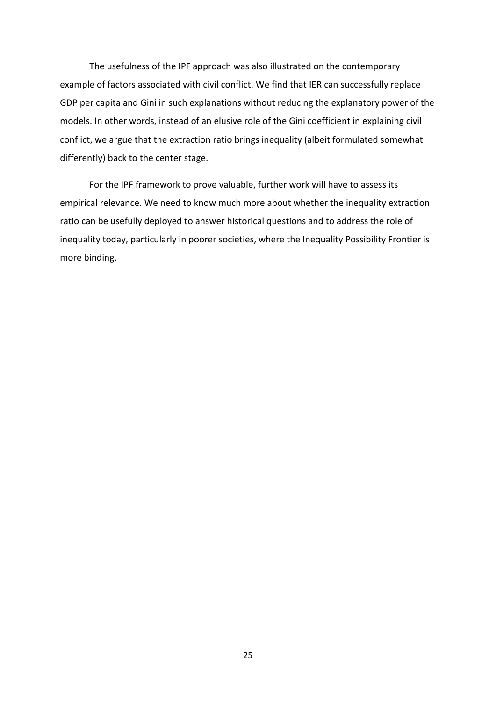The usefulness of the IPF approach was also illustrated on the contemporary example of factors associated with civil conflict. We find that IER can successfully replace GDP per capita and Gini in such explanations without reducing the explanatory power of the models. In other words, instead of an elusive role of the Gini coefficient in explaining civil conflict, we argue that the extraction ratio brings inequality (albeit formulated somewhat differently) back to the center stage.

For the IPF framework to prove valuable, further work will have to assess its empirical relevance. We need to know much more about whether the inequality extraction ratio can be usefully deployed to answer historical questions and to address the role of inequality today, particularly in poorer societies, where the Inequality Possibility Frontier is more binding.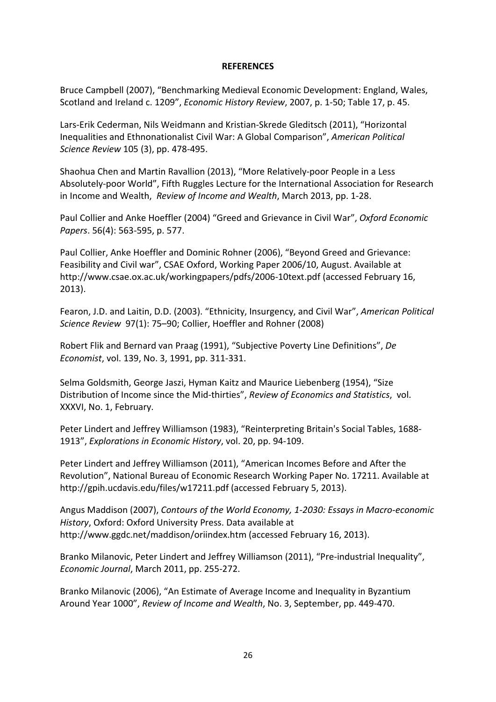#### **REFERENCES**

Bruce Campbell (2007), "Benchmarking Medieval Economic Development: England, Wales, Scotland and Ireland c. 1209", *Economic History Review*, 2007, p. 1-50; Table 17, p. 45.

Lars-Erik Cederman, Nils Weidmann and Kristian-Skrede Gleditsch (2011), "Horizontal Inequalities and Ethnonationalist Civil War: A Global Comparison", *American Political Science Review* 105 (3), pp. 478-495.

Shaohua Chen and Martin Ravallion (2013), "More Relatively-poor People in a Less Absolutely-poor World", Fifth Ruggles Lecture for the International Association for Research in Income and Wealth, *Review of Income and Wealth*, March 2013, pp. 1-28.

Paul Collier and Anke Hoeffler (2004) ["Greed and Grievance in Civil War",](http://www.econ.nyu.edu/user/debraj/Courses/Readings/CollierHoeffler.pdf) *Oxford Economic Papers*. 56(4): 563-595, p. 577.

Paul Collier, Anke Hoeffler and Dominic Rohner (2006), "Beyond Greed and Grievance: Feasibility and Civil war", CSAE Oxford, Working Paper 2006/10, August. Available at http[://www.csae.ox.ac.uk/workingpapers/pdfs/2006](http://www.csae.ox.ac.uk/workingpapers/pdfs/2006-10text.pdf)-10text.pdf (accessed February 16, 2013).

Fearon, J.D. and Laitin, D.D. (2003). "Ethnicity, Insurgency, and Civil War", *American Political Science Review* 97(1): 75–90; Collier, Hoeffler and Rohner (2008)

Robert Flik and Bernard van Praag (1991), "Subjective Poverty Line Definitions", *De Economist*, vol. 139, No. 3, 1991, pp. 311-331.

Selma Goldsmith, George Jaszi, Hyman Kaitz and Maurice Liebenberg (1954), "Size Distribution of Income since the Mid-thirties", *Review of Economics and Statistics*, vol. XXXVI, No. 1, February.

Peter Lindert and Jeffrey Williamson (1983), "Reinterpreting Britain's Social Tables, 1688- 1913", *Explorations in Economic History*, vol. 20, pp. 94-109.

Peter Lindert and Jeffrey Williamson (2011), "American Incomes Before and After the Revolution", National Bureau of Economic Research Working Paper No. 17211. Available at <http://gpih.ucdavis.edu/files/w17211.pdf> (accessed February 5, 2013).

Angus Maddison (2007), *Contours of the World Economy, 1-2030: Essays in Macro-economic History*, Oxford: Oxford University Press. Data available at <http://www.ggdc.net/maddison/oriindex.htm> (accessed February 16, 2013).

Branko Milanovic, Peter Lindert and Jeffrey Williamson (2011), "Pre-industrial Inequality", *Economic Journal*, March 2011, pp. 255-272.

Branko Milanovic (2006), "An Estimate of Average Income and Inequality in Byzantium Around Year 1000", *Review of Income and Wealth*, No. 3, September, pp. 449-470.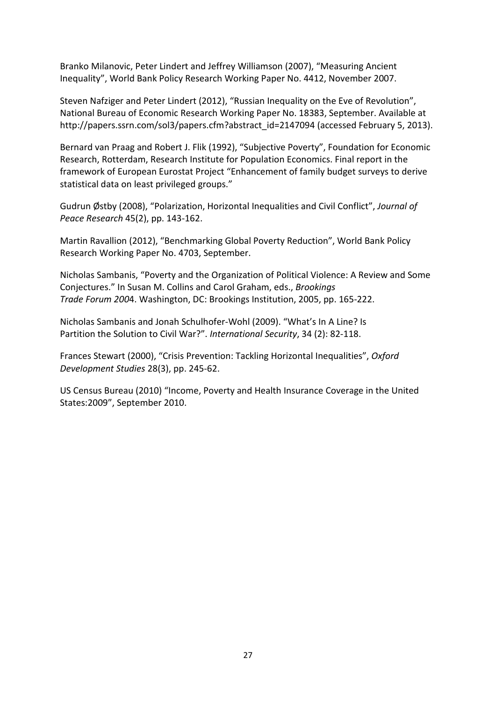Branko Milanovic, Peter Lindert and Jeffrey Williamson (2007), "Measuring Ancient Inequality", World Bank Policy Research Working Paper No. 4412, November 2007.

Steven Nafziger and Peter Lindert (2012), "Russian Inequality on the Eve of Revolution", National Bureau of Economic Research Working Paper No. 18383, September. Available at [http://papers.ssrn.com/sol3/papers.cfm?abstract\\_id=2147094](http://papers.ssrn.com/sol3/papers.cfm?abstract_id=2147094) (accessed February 5, 2013).

Bernard van Praag and Robert J. Flik (1992), "Subjective Poverty", Foundation for Economic Research, Rotterdam, Research Institute for Population Economics. Final report in the framework of European Eurostat Project "Enhancement of family budget surveys to derive statistical data on least privileged groups."

Gudrun Østby (2008), "Polarization, Horizontal Inequalities and Civil Conflict", *Journal of Peace Research* 45(2), pp. 143-162.

Martin Ravallion (2012), "Benchmarking Global Poverty Reduction", World Bank Policy Research Working Paper No. 4703, September.

Nicholas Sambanis, "Poverty and the Organization of Political Violence: A Review and Some Conjectures." In Susan M. Collins and Carol Graham, eds., *Brookings Trade Forum 200*4. Washington, DC: Brookings Institution, 2005, pp. 165-222.

Nicholas Sambanis and Jonah Schulhofer-Wohl (2009). "What's In A Line? Is Partition the Solution to Civil War?". *International Security*, 34 (2): 82-118.

Frances Stewart (2000), "Crisis Prevention: Tackling Horizontal Inequalities", *Oxford Development Studies* 28(3), pp. 245-62.

US Census Bureau (2010) "Income, Poverty and Health Insurance Coverage in the United States:2009", September 2010.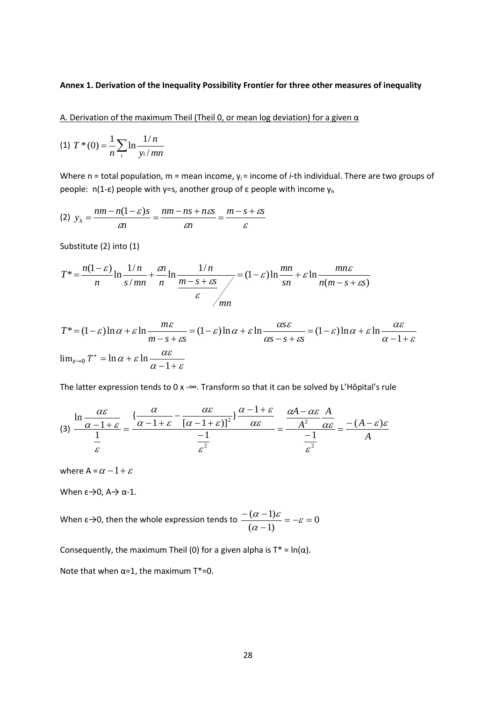#### **Annex 1. Derivation of the Inequality Possibility Frontier for three other measures of inequality**

A. Derivation of the maximum Theil (Theil 0, or mean log deviation) for a given  $\alpha$ 

(1) 
$$
T^*(0) = \frac{1}{n} \sum_{i} \ln \frac{1/n}{y_i/mn}
$$

Where n = total population, m = mean income,  $y_i$  = income of *i*-th individual. There are two groups of people:  $n(1-\epsilon)$  people with y=s, another group of ε people with income  $y<sub>h</sub>$ 

$$
(2) \ \ y_h = \frac{nm - n(1 - \varepsilon)s}{\varepsilon n} = \frac{nm - ns + n\varepsilon s}{\varepsilon n} = \frac{m - s + \varepsilon s}{\varepsilon}
$$

Substitute (2) into (1)

$$
T^* = \frac{n(1-\varepsilon)}{n} \ln \frac{1/n}{s/mn} + \frac{\varepsilon n}{n} \ln \frac{1/n}{\frac{m-s+\varepsilon s}{\varepsilon}} = (1-\varepsilon) \ln \frac{mn}{sn} + \varepsilon \ln \frac{mn\varepsilon}{n(m-s+\varepsilon s)}
$$

$$
T^* = (1 - \varepsilon) \ln \alpha + \varepsilon \ln \frac{m\varepsilon}{m - s + \varepsilon s} = (1 - \varepsilon) \ln \alpha + \varepsilon \ln \frac{\alpha s \varepsilon}{\alpha s - s + \varepsilon s} = (1 - \varepsilon) \ln \alpha + \varepsilon \ln \frac{\alpha \varepsilon}{\alpha - 1 + \varepsilon}
$$
  

$$
\lim_{\varepsilon \to 0} T^* = \ln \alpha + \varepsilon \ln \frac{\alpha \varepsilon}{\alpha - 1 + \varepsilon}
$$

The latter expression tends to 0 x -∞. Transform so that it can be solved by L'Hôpital's rule

$$
(3) \frac{\ln \frac{\alpha \varepsilon}{\alpha - 1 + \varepsilon}}{\frac{1}{\varepsilon}} = \frac{\left\{ \frac{\alpha}{\alpha - 1 + \varepsilon} - \frac{\alpha \varepsilon}{\left[ \alpha - 1 + \varepsilon \right] \right\}^2} \right\} \frac{\alpha - 1 + \varepsilon}{\alpha \varepsilon}}{\frac{-1}{\varepsilon^2}} = \frac{\frac{\alpha A - \alpha \varepsilon}{A^2} \frac{A}{\alpha \varepsilon}}{\frac{-1}{\varepsilon^2}} = \frac{-(A - \varepsilon)\varepsilon}{A}
$$

where A =  $\alpha$  – 1 +  $\varepsilon$ 

When  $\epsilon \rightarrow 0$ ,  $A \rightarrow \alpha -1$ .

When  $\varepsilon \rightarrow 0$ , then the whole expression tends to  $\frac{(\alpha - 1)\sigma}{\sigma} = -\varepsilon = 0$  $\frac{-(\alpha-1)\varepsilon}{(\alpha-1)} = -\varepsilon =$ α  $\alpha$  – 1) $\varepsilon$ 

Consequently, the maximum Theil (0) for a given alpha is  $T^* = \ln(\alpha)$ .

Note that when  $\alpha$ =1, the maximum T\*=0.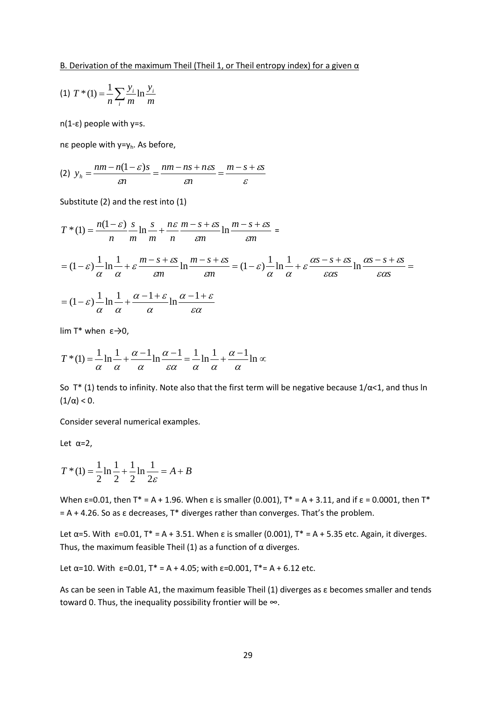$$
(1) T^*(1) = \frac{1}{n} \sum_{i} \frac{y_i}{m} \ln \frac{y_i}{m}
$$

n(1-ε) people with y=s.

nε people with y=yh. As before,

$$
(2) \ \ y_h = \frac{nm - n(1 - \varepsilon)s}{\varepsilon n} = \frac{nm - ns + n\varepsilon s}{\varepsilon n} = \frac{m - s + \varepsilon s}{\varepsilon}
$$

Substitute (2) and the rest into (1)

$$
T^*(1) = \frac{n(1-\varepsilon)}{n} \frac{s}{m} \ln \frac{s}{m} + \frac{n\varepsilon}{n} \frac{m-s+\varepsilon s}{\varepsilon m} \ln \frac{m-s+\varepsilon s}{\varepsilon m} =
$$
  
=  $(1-\varepsilon) \frac{1}{\alpha} \ln \frac{1}{\alpha} + \varepsilon \frac{m-s+\varepsilon s}{\varepsilon m} \ln \frac{m-s+\varepsilon s}{\varepsilon m} = (1-\varepsilon) \frac{1}{\alpha} \ln \frac{1}{\alpha} + \varepsilon \frac{\alpha s-s+\varepsilon s}{\varepsilon \alpha s} \ln \frac{\alpha s-s+\varepsilon s}{\varepsilon \alpha s} =$   
=  $(1-\varepsilon) \frac{1}{\alpha} \ln \frac{1}{\alpha} + \frac{\alpha-1+\varepsilon}{\alpha} \ln \frac{\alpha-1+\varepsilon}{\varepsilon \alpha}$ 

lim T<sup>\*</sup> when  $ε\rightarrow0$ ,

$$
T^*(1) = \frac{1}{\alpha} \ln \frac{1}{\alpha} + \frac{\alpha - 1}{\alpha} \ln \frac{\alpha - 1}{\epsilon \alpha} = \frac{1}{\alpha} \ln \frac{1}{\alpha} + \frac{\alpha - 1}{\alpha} \ln \infty
$$

So T\* (1) tends to infinity. Note also that the first term will be negative because  $1/\alpha < 1$ , and thus ln (1/α) < 0.

Consider several numerical examples.

Let  $\alpha=2$ ,

$$
T^*(1) = \frac{1}{2} \ln \frac{1}{2} + \frac{1}{2} \ln \frac{1}{2\varepsilon} = A + B
$$

When ε=0.01, then T\* = A + 1.96. When ε is smaller (0.001), T\* = A + 3.11, and if ε = 0.0001, then T\*  $= A + 4.26$ . So as  $\varepsilon$  decreases, T\* diverges rather than converges. That's the problem.

Let  $\alpha$ =5. With  $\varepsilon$ =0.01, T<sup>\*</sup> = A + 3.51. When  $\varepsilon$  is smaller (0.001), T<sup>\*</sup> = A + 5.35 etc. Again, it diverges. Thus, the maximum feasible Theil (1) as a function of  $\alpha$  diverges.

Let  $\alpha$ =10. With  $\varepsilon$ =0.01, T<sup>\*</sup> = A + 4.05; with  $\varepsilon$ =0.001, T<sup>\*</sup>= A + 6.12 etc.

As can be seen in Table A1, the maximum feasible Theil (1) diverges as  $\varepsilon$  becomes smaller and tends toward 0. Thus, the inequality possibility frontier will be ∞.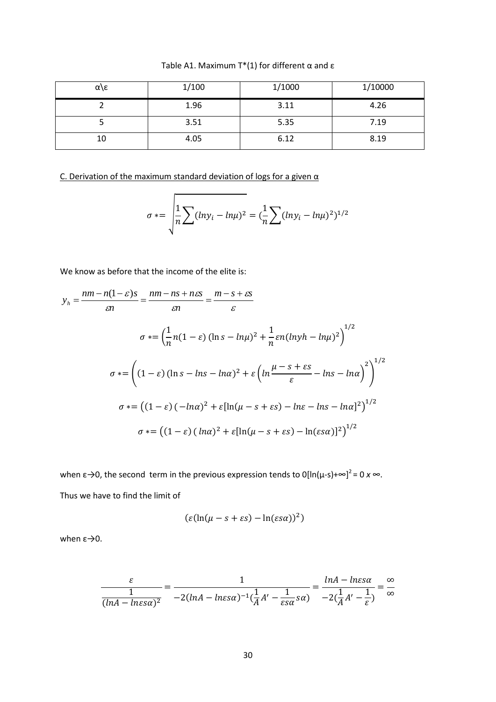Table A1. Maximum T\*(1) for different  $\alpha$  and  $\epsilon$ 

| α\ε | 1/100 | 1/1000 | 1/10000 |
|-----|-------|--------|---------|
|     | 1.96  | 3.11   | 4.26    |
|     | 3.51  | 5.35   | 7.19    |
| 10  | 4.05  | 6.12   | 8.19    |

C. Derivation of the maximum standard deviation of logs for a given  $\alpha$ 

'n

$$
\sigma * = \sqrt{\frac{1}{n} \sum (lny_i - ln\mu)^2} = (\frac{1}{n} \sum (lny_i - ln\mu)^2)^{1/2}
$$

We know as before that the income of the elite is:

$$
y_h = \frac{nm - n(1 - \varepsilon)s}{\varepsilon n} = \frac{nm - ns + n\varepsilon s}{\varepsilon n} = \frac{m - s + \varepsilon s}{\varepsilon}
$$
  

$$
\sigma \ast = \left(\frac{1}{n}n(1 - \varepsilon)(\ln s - \ln \mu)^2 + \frac{1}{n}\varepsilon n(\ln y h - \ln \mu)^2\right)^{1/2}
$$
  

$$
\sigma \ast = \left((1 - \varepsilon)(\ln s - \ln s - \ln \alpha)^2 + \varepsilon\left(\ln \frac{\mu - s + \varepsilon s}{\varepsilon} - \ln s - \ln \alpha\right)^2\right)^{1/2}
$$
  

$$
\sigma \ast = \left((1 - \varepsilon)(-\ln \alpha)^2 + \varepsilon[\ln(\mu - s + \varepsilon s) - \ln \varepsilon - \ln s - \ln \alpha]^2\right)^{1/2}
$$
  

$$
\sigma \ast = \left((1 - \varepsilon)(\ln \alpha)^2 + \varepsilon[\ln(\mu - s + \varepsilon s) - \ln(\varepsilon s \alpha)]^2\right)^{1/2}
$$

when  $\varepsilon \rightarrow 0$ , the second term in the previous expression tends to 0[ln( $\mu$ -s)+ $\infty$ ]<sup>2</sup> = 0 x  $\infty$ . Thus we have to find the limit of

$$
(\varepsilon(\ln(\mu-s+\varepsilon s)-\ln(\varepsilon s\alpha))^2)
$$

when  $ε \rightarrow 0$ .

$$
\frac{\varepsilon}{\frac{1}{(ln A - ln \varepsilon s \alpha)^2}} = \frac{1}{-2(ln A - ln \varepsilon s \alpha)^{-1} (\frac{1}{A} A' - \frac{1}{\varepsilon s \alpha} s \alpha)} = \frac{ln A - ln \varepsilon s \alpha}{-2(\frac{1}{A} A' - \frac{1}{\varepsilon})} = \frac{\infty}{\infty}
$$